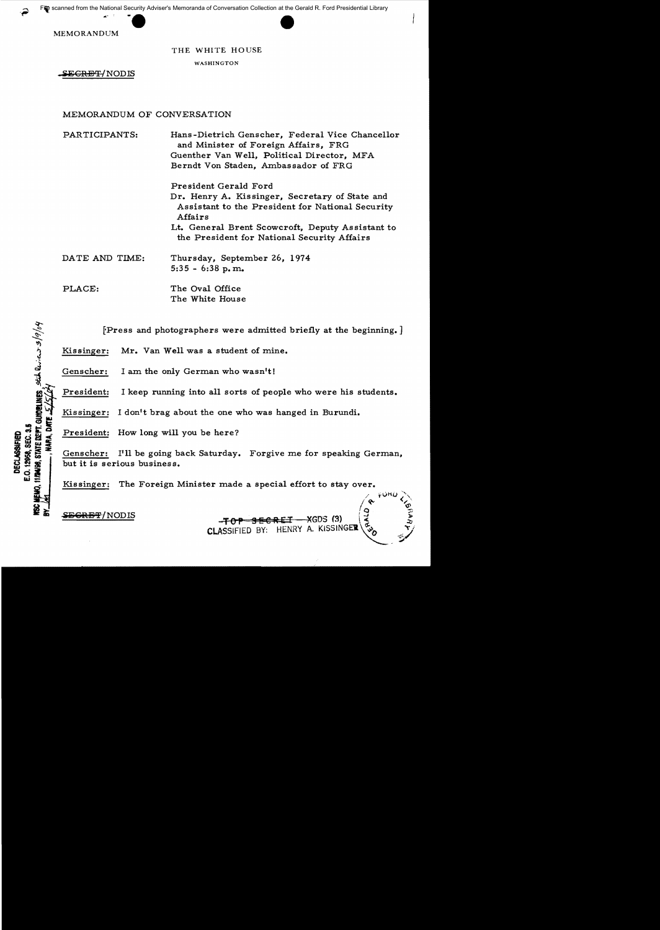MEMORANDUM

THE WHITE HOUSE

WASHINGTON

SEGRET/NODIS

# MEMORANDUM OF CONVERSATION

PARTICIPANTS: Hans -Dietrich Genscher, Federal Vice Chancellor and Minister of Foreign Affairs, FRG Guenther Van Well, Political Director, MFA Berndt Von Staden, Ambassador of FRG

> President Gerald Ford Dr. Henry A. Kissinger, Secretary of State and Assistant to the President for National Security Affairs Lt. General Brent Scowcroft, Deputy As sistant to

the President for National Security Affairs

DATE AND TIME: Thursday, September 26, 1974  $5:35 - 6:38$  p.m.

PLACE: The Oval Office The White House

[Press and photographers were admitted briefly at the beginning.]

Kissinger: Mr. Van Well was a student of mine.

Genscher: I am the only German who wasn't!

President: I keep running into all sorts of people who were his students.

Kissinger: I don't brag about the one who was hanged in Burundi.

President: How long will you be here?

Genscher: I'll be going back Saturday. Forgive me for speaking German, but it is serious business.

Kissinger: The Foreign Minister made a special effort to stay over.

**ITAGES, STATE DEPT. GUMPELINES.** State  $Q_{\alpha}$ ,  $\alpha$ ,  $\beta$  /9/04

E.O. 12968, SEC. 3.5 **DECLASSIFIED** 

FRICALLY INCOUS -TOP SECRET - XGDS (3)<br>CLASSIFIED BY: HENRY A. KISSINGER

 $\chi$  form  $\searrow$  $\sqrt{8}$   $\sqrt{6}$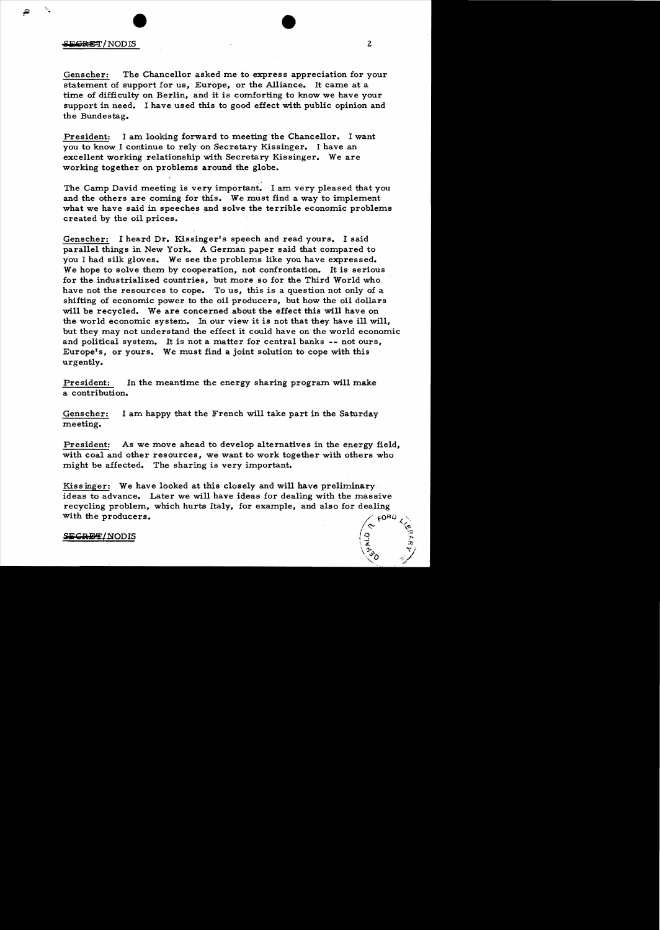## $\frac{1}{2}$  is the set of  $\frac{1}{2}$  in  $\frac{1}{2}$  in  $\frac{1}{2}$  in  $\frac{1}{2}$  in  $\frac{1}{2}$  in  $\frac{1}{2}$  in  $\frac{1}{2}$  in  $\frac{1}{2}$  in  $\frac{1}{2}$  in  $\frac{1}{2}$  in  $\frac{1}{2}$  in  $\frac{1}{2}$  in  $\frac{1}{2}$  in  $\frac{1}{2}$  in  $\frac{1}{2}$  in  $\$

Genscher: The Chancellor asked me to express appreciation for your statement of support for us, Europe, or the Alliance. It came at a time of difficulty on Berlin, and it is comforting to know we have your support in need. I have used this to good effect with public opinion and the Bundestag.

President: I am looking forward to meeting the Chancellor. I want you to know I continue to rely on Secretary Kissinger. 1 have an excellent working relationship with Secretary Kissinger. We are working together on problems around the globe.

The Camp David meeting is very important. I am very pleased that you and the others are coming for this. We must find a way to implement what we have said in speeches and solve the terrible economic problems created by the oil prices.

Genscher: I heard Dr. Kissinger's speech and read yours. I said parallel things in New York. A German paper said that compared to you I had silk gloves. We see the problems like you have expressed. We hope to solve them by cooperation, not confrontation. It is serious for the industrialized countries, but more so for the Third World who have not the resources to cope. To us, this is a question not only of a shifting of economic power to the oil producers, but how the oil dollars will be recycled. We are concerned about the effect this will have on the world economic system. In our view it is not that they have ill will, but they may not understand the effect it could have on the world economic and political system. It is not a matter for central banks -- not ours, Europe's, or yours. We must find a joint solution to cope with this urgently.

President: In the meantime the energy sharing program will make a contribution.

Genscher: I am happy that the French will take part in the Saturday meeting.

President: As we move ahead to develop alternatives in the energy field, with coal and other resources, we want to work together with others who might be affected. The sharing is very important.

Kissinger: We have looked at this closely and will have preliminary ideas to advance. Later we will have ideas for dealing with the massive recycling problem, which hurts Italy, for example, and also for dealing with the producers.

### SECRET/NODIS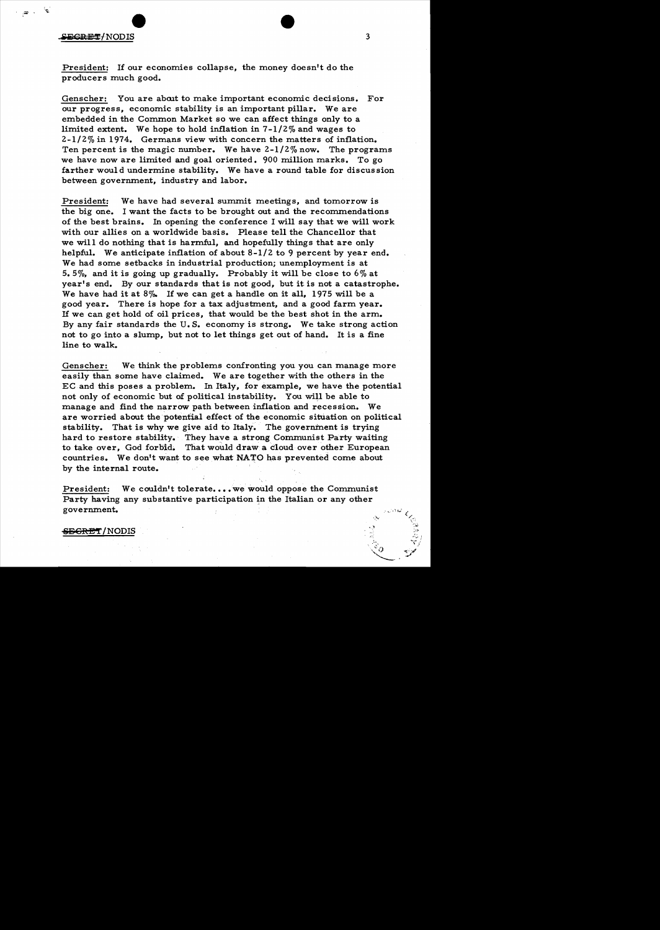# $\equiv$  GRET/NODIS 3

 $\frac{1}{2}$ 

President: If our economies collapse, the money doesn't do the producers much good.

Genscher: You are about to make important economic decisions. For our progress, economic stability is an important pillar. We are embedded in the Common Market so we can affect things only to a limited extent. We hope to hold inflation in  $7-1/2\%$  and wages to 2-1/2% in 1974. Germans view with concern the matters of inflation. Ten percent is the magic number. We have 2-1/2% now. The programs we have now are limited and goal oriented. 900 million marks. To go farther would undermine stability. We have a round table for discussion between government, industry and labor.

President: We have had several summit meetings, and tomorrow is the big one. I want the facts to be brought out and the recommendations of the best brains. In opening the conference I will say that we will work with our allies on a worldwide basis. Please tell the Chancellor that we will do nothing that is harmful, and hopefully things that are only helpful. We anticipate inflation of about 8-1/2 to 9 percent by year end. We had some setbacks in industrial production; unemployment is at 5.5%, and it is going up gradually. Probably it will be close to 6% at year's end. By our standards that is not good, but it is not a catastrophe. We have had it at 8%. If we can get a handle on it all, 1975 will be a good year. There is hope for a tax adjustment, and a good farm year. If we can get hold of oil prices, that would be the best shot in the arm. By any fair standards the U. S. economy is strong. We take strong action not to go into a slump, but not to let things get out of hand. It is a fine line to walk.

Genscher: We think the problems confronting you you can manage more easily than some have claimed. We are together with the others in the EC and this poses a problem. In Italy, for example, we have the potential not only of economic but of political instability. You will be able to manage and find the narrow path between inflation and recession. We are worried about the potential effect of the economic situation on political stability. That is why we give aid to Italy. The government is trying hard to restore stability. They have a strong Communist Party waiting to take over, God forbid. That would draw a cloud over other European countries. We don't want to see what NATO has prevented come about by the internal route.

President: We couldn't tolerate.... we would oppose the Communist Party having any substantive participation in the Italian or any other government.

### <del>SECRET</del>/NODIS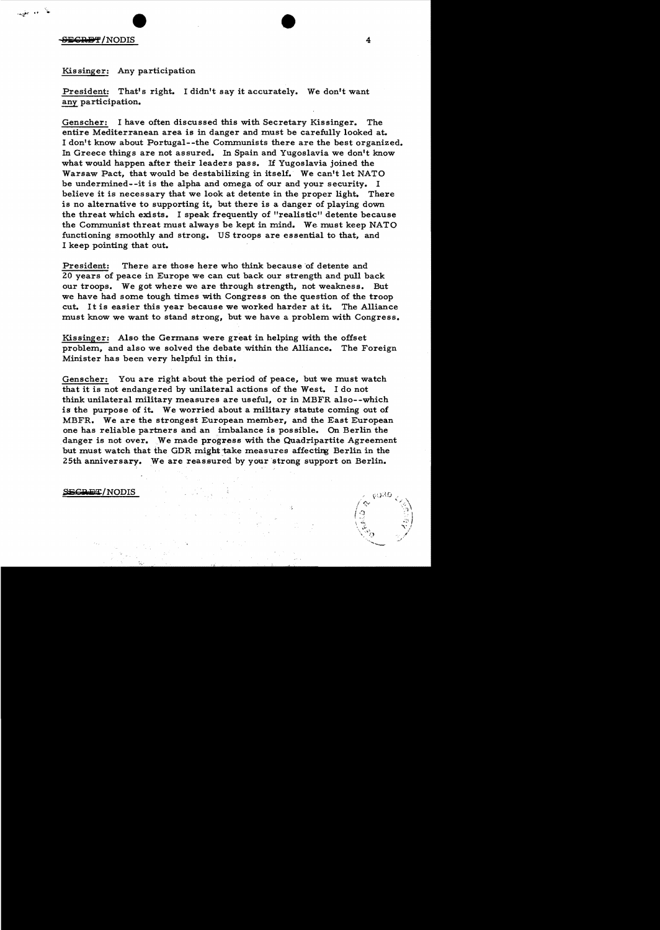## $S$ ing  $4$

.<br>۱۴۰ جل<u>ی</u>

## Kis singer: Any participation

President: That's right. I didn't say it accurately. We don't want any participation.

Genscher: I have often discussed this with Secretary Kissinger. The entire Mediterranean area is in danger and must be carefully looked at. I don't know about Portugal--the Communists there are the best organized. In Greece things are not assured. In Spain and Yugoslavia we don't know what would happen after their leaders pass. If Yugoslavia joined the Warsaw Pact, that would be destabilizing in itself. We can't let NATO be undermined--it is the alpha and omega of our and your security. I believe it is necessary that we look at detente in the proper light. There is no alternative to supporting it, but there is a danger of playing down the threat which exists. I speak frequently of "realistic" detente because the Communist threat must always be kept in mind. We must keep NATO functioning smoothly and strong. US troops are essential to that, and I keep pointing that out.

President: There are those here who think because of detente and 20 years of peace in Europe we can cut back our strength and pull back our troops. We got where we are through strength, not weakness. But we have had some tough times with Congress on the question of the troop cut. It is easier this year because we worked harder at it. The Alliance must know we want to stand strong, but we have a problem with Congress.

Kissinger: Also the Germans were great in helping with the offset problem, and also we solved the debate within the Alliance. The Foreign Minister has been very helpful in this.

Genscher: You are right about the period of peace, but we must watch that it is not endangered by unilateral actions of the West. I do not think unilateral military measures are useful, or in MBFR also--which is the purpose of it. We worried about a military statute coming out of MBFR. We are the strongest European member, and the East European one has reliable partners and an imbalance is possible. On Berlin the danger is not over. We made progress with the Quadripartite Agreement but must watch that the GDR might take measures affecting Berlin in the where, we are the strongest European member, and the East Europea<br>one has reliable partners and an imbalance is possible. On Berlin the<br>danger is not over. We made progress with the Quadripartite Agreeme<br>but must watch tha

### **SECRET/NODIS**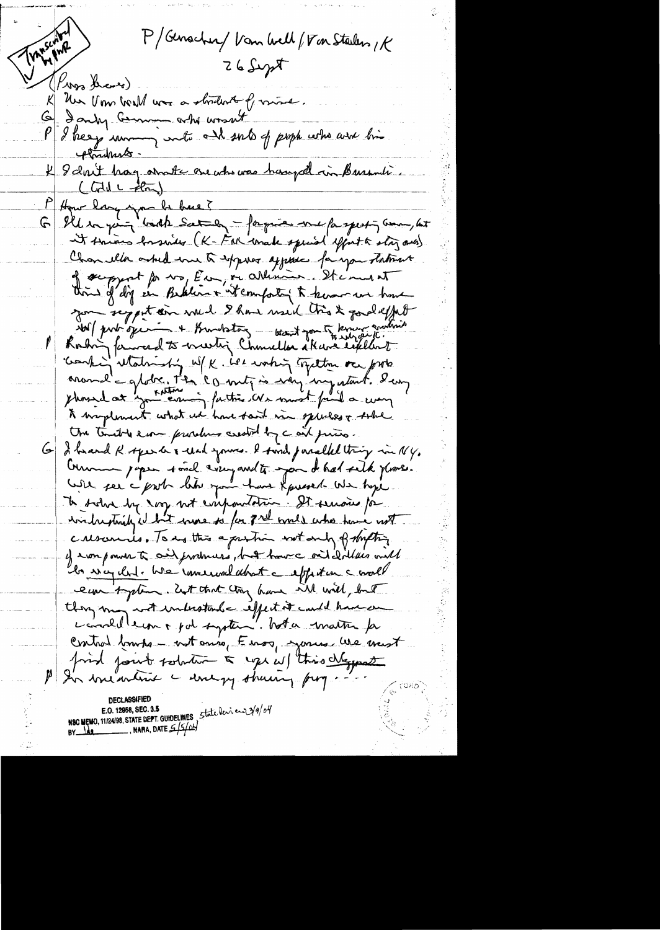Transcorp P/Genscher/ Van Well/  $\sqrt{r}$ on Steilen, R  $Z6$  Supt (Knos Share). K Un Vom bould was a strident of mine. 6 Janky Comment work prof part who are his plandments -4 8 dont hay avante one who was hanged in Bursuli.  $(LdilL - ilm)$ P Hour larging de back ?<br>G Illian part bouth Saturn - fargue me fargent ; com, let It things besonder (K-Fal conate special effort & story ones) Chan eller asked me to express appear for you thatmas of support for way Eur, or allimin . It is must thing of dig in Beklin + it comforty to know we have zon seppt en vuel 9 hours useil très & podelfut Norf perhaps of the thoughtong - want you to know and we Rostin famoud to meeting Chamiller skave explant phosed at you coming factic de must faint a comp to insplement what we have sont in species & sobre the trible even procedures assolid by c and prices. I havend R speech's read yours. I said parallel thing in NY.  $G_{\parallel}$ Comme papea touch compared to you de had site place. te sohn by soy not empoutation. It senous for with striky it but were to for  $\mathbb{Z}^{n \underline{d}}$  would who have not crescences. To us this a pushin wit and prompting y won ponder te onif produces, but home onit dilles will ibn way dut. We remercal about a exploitance would eun system. Ent that try have will will, but they may not interstand eiffect it could have an correllemment of system. When matter for Control brushe - not anso, Enos, yours we want find fourt solution & ups w/ this chappent In measure - wery shown, forg. NSC MEMO, 11/24/98, STATE DEPT. GUIDELINES, State deview 2/9/04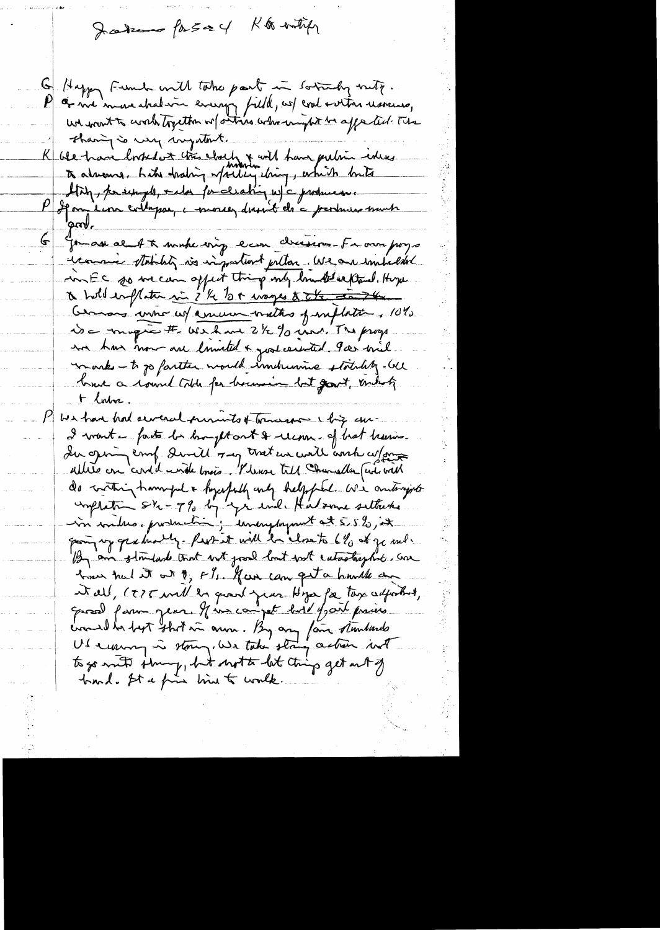K & entipp Jakon for 524

Happy Fund with take part in sorrady with. إسما as we in we shal win every field, as contra usamo, we want to work together or strikes when mytet be apperted. The thang is usy wyntant. K ble have looked at this closely & with have pertain ideas to almone . Like hading whiley ching, which hits Stry, passingle, and por cleaning w/c producesse P departien collapse, conseignement de c produces mont  $\overline{\mathbb{F}}$ Gomas al At make onig even cheesen - From pogs et comme statutit vis important pillon. We are impalded in EC so we can appet thing only low the extend. Hope a hold emploiter si i'le let mages & the dans Cernars unne ces comment maths proflation. 10% De magne # We have 2/2 % ind. The progre in has now are luncted & good cerented. Por will works - to go farther would imdrunne stocking. We tome a count toth for because but good, unbok + lorber bes have had several primets of transverse chip and I voint en faite la brought out & recommend bedt because du genin emp demillement une content ant cefon do contain having a hypotally under helpfel. We anterigate implatin sir-7% by you and Hatsome sattached groun up gradually-feat at will be alosets by at go only By an standard that with good but with catastrophic, can home need it out of, FI. Gun can get a hundle and et all, (ETE will be grant juin Hya for tax auforter, Gross farm jear. His compet hold for prices creamed has best start in own. By any fair stundards Ut ensuring in storing, We take string action int to go mett ihning, but not to let thing get out of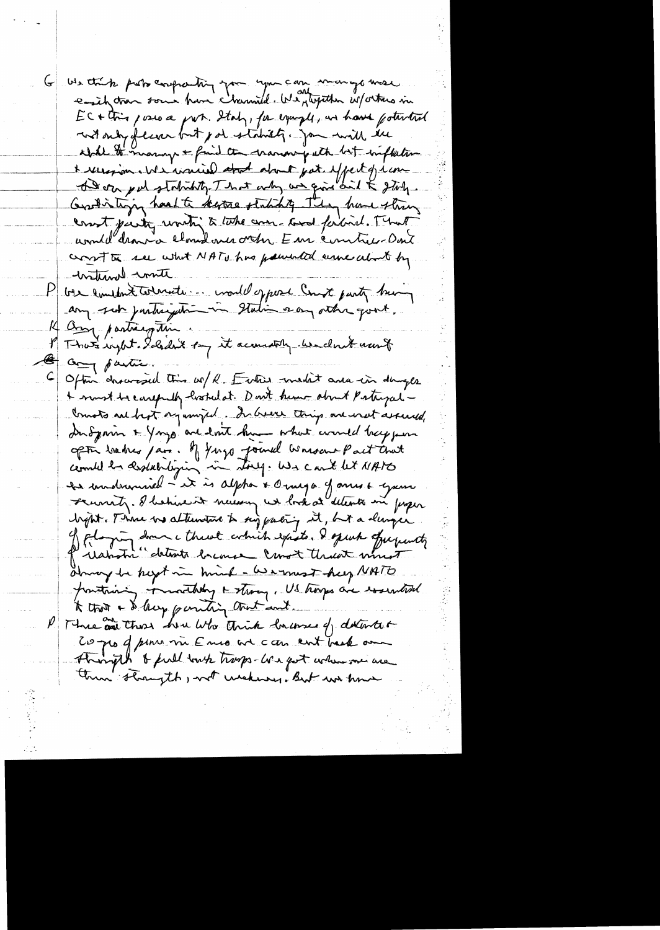We think probe confronting you you can manyo mese  $EC+Ur$  posso a port. Italy, for example, we have fourted with only of learn but por stability. Jour will the abile to many & find the manon path but inflation & receipion We warried about pat effect of run A soon put statistiky. That only we give and & stoly. Grandistinging hand to kepture studing They have string count party unity to take and ladied. That unill'aran a cloud avec votre Eur contre Dont cross to see what NATU has pounded come about by -writinal conte ble limitant toderate : mould oppose Count party being  $\vert P \vert$ M Compartingtin. of That inght. I hadn't by it account we don't want  $\frac{1}{\sqrt{2}}$  $a_{\overline{q}}$  fastic. Often drovesed this w/ R. Entire maket are in daught  $\subseteq$ + must be earefully histricat. Don't know about Patryal -Counts we best organized. In been thing are west assured Indyanin + Yongs are lost him what would bey per of the brakes pars. If young joined bonsons Pact Chat hypt. There is alternative to suggesting it, but a durage of flaging down a threat which expists. I quick offerfuncty Prishotic detente bremse const theat must almoy be helpt in hind - We must help NATO pointing monthly + strong, US trongs are essential to that a delicy parting that and P Three are those how who think lowerse of detented Coppo of pont me E mes and can ent back our then straight , not wishing, But we have